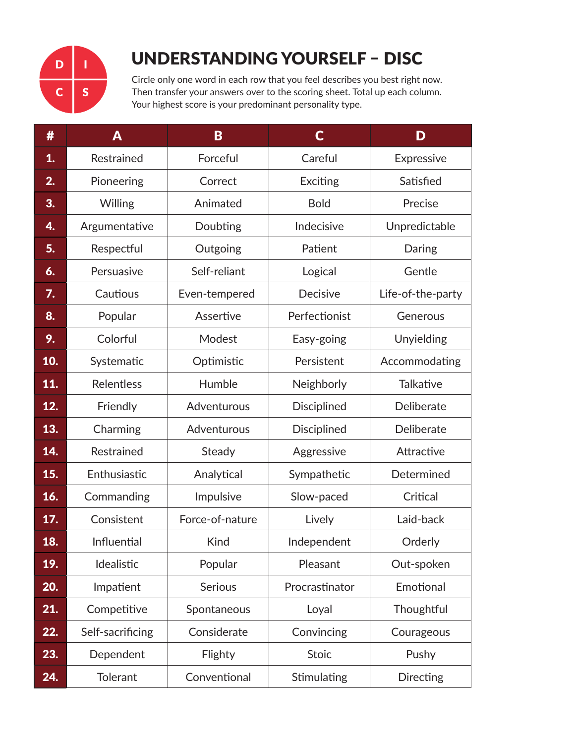

## UNDERSTANDING YOURSELF – DISC

Circle only one word in each row that you feel describes you best right now. Then transfer your answers over to the scoring sheet. Total up each column. Your highest score is your predominant personality type.

| #   | Α                          | B                          | $\mathsf{C}$       | D                 |
|-----|----------------------------|----------------------------|--------------------|-------------------|
| 1.  | Restrained                 | Forceful                   | Careful            | Expressive        |
| 2.  | Pioneering                 | Correct                    | Exciting           | Satisfied         |
| 3.  | Willing                    | Animated                   | <b>Bold</b>        | Precise           |
| 4.  | Argumentative              | Doubting                   | Indecisive         | Unpredictable     |
| 5.  | Respectful                 | Outgoing                   | Patient            | Daring            |
| 6.  | Persuasive                 | Self-reliant               | Logical            | Gentle            |
| 7.  | Cautious                   | Even-tempered              | Decisive           | Life-of-the-party |
| 8.  | Popular                    | Assertive                  | Perfectionist      | Generous          |
| 9.  | Colorful                   | Modest                     | Easy-going         | Unyielding        |
| 10. | Systematic                 | Optimistic                 | Persistent         | Accommodating     |
| 11. | Relentless                 | Humble                     | Neighborly         | <b>Talkative</b>  |
| 12. | Friendly                   | Adventurous                | <b>Disciplined</b> | Deliberate        |
| 13. | Charming                   | Adventurous                | <b>Disciplined</b> | Deliberate        |
| 14. | Restrained                 | Steady                     | Aggressive         | Attractive        |
| 15. | Enthusiastic               | Analytical                 | Sympathetic        | Determined        |
| 16. | Commanding                 | Impulsive                  | Slow-paced         | Critical          |
| 17. | Consistent                 | Force-of-nature            | Lively             | Laid-back         |
| 18. | Influential                | <b>Kind</b><br>Independent |                    | Orderly           |
| 19. | Idealistic                 | Popular<br>Pleasant        |                    | Out-spoken        |
| 20. | Serious<br>Impatient       |                            | Procrastinator     | Emotional         |
| 21. | Competitive<br>Spontaneous |                            | Loyal              | Thoughtful        |
| 22. | Self-sacrificing           | Considerate                | Convincing         | Courageous        |
| 23. | Dependent                  | Flighty                    | <b>Stoic</b>       | Pushy             |
| 24. | <b>Tolerant</b>            | Conventional               | Stimulating        | Directing         |